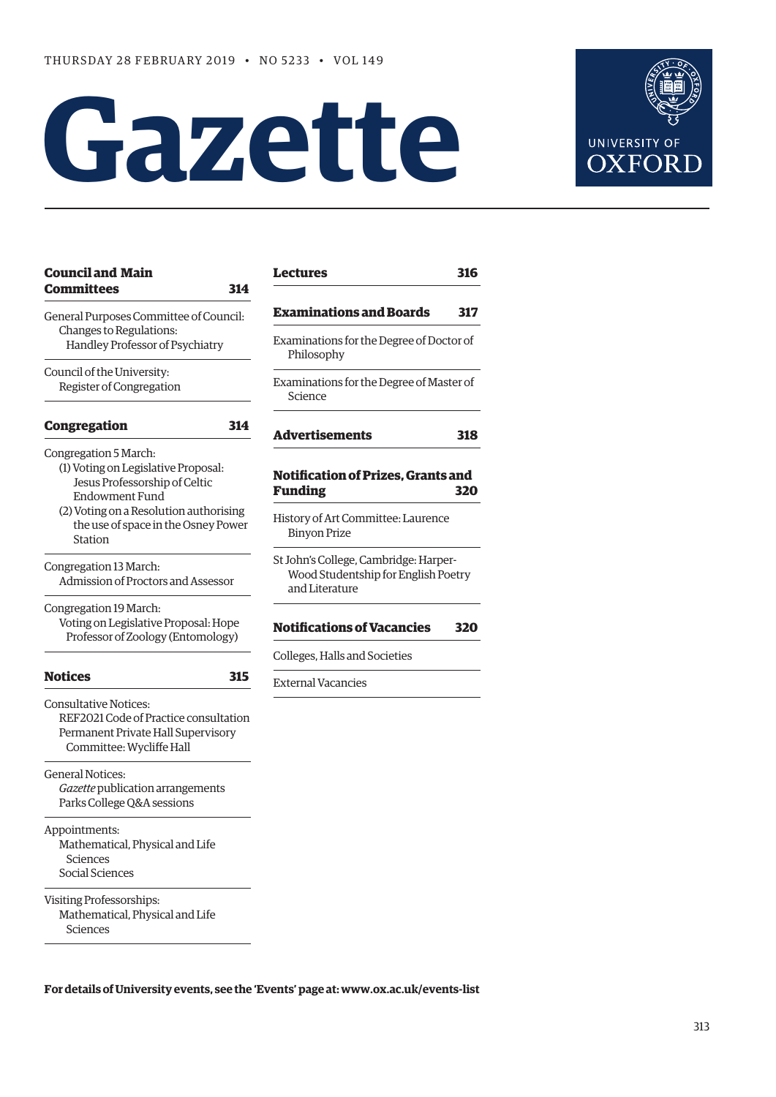# **Gazette**



| <b>Council and Main</b>                        | Lectu            |
|------------------------------------------------|------------------|
| <b>Committees</b>                              | 314              |
| General Purposes Committee of Council:         | Exam             |
| Changes to Regulations:                        | Exami            |
| Handley Professor of Psychiatry                | Phi              |
| Council of the University:                     |                  |
| Register of Congregation                       | Exami<br>Scie    |
| <b>Congregation</b>                            | 314<br>Adve      |
| Congregation 5 March:                          |                  |
| (1) Voting on Legislative Proposal:            |                  |
| Jesus Professorship of Celtic                  | Notifi           |
| <b>Endowment Fund</b>                          | Fund             |
| (2) Voting on a Resolution authorising         | Histor           |
| the use of space in the Osney Power<br>Station | Bin              |
| Congregation 13 March:                         | St Johi          |
| Admission of Proctors and Assessor             | <b>Wo</b><br>and |
| Congregation 19 March:                         |                  |
| Voting on Legislative Proposal: Hope           | <b>Notifi</b>    |
| Professor of Zoology (Entomology)              |                  |
|                                                | Colleg           |
| <b>Notices</b>                                 | 315<br>Extern    |
| Consultative Notices:                          |                  |
| REF2021 Code of Practice consultation          |                  |
| Permanent Private Hall Supervisory             |                  |
| Committee: Wycliffe Hall                       |                  |
| <b>General Notices:</b>                        |                  |
| Gazette publication arrangements               |                  |
| Parks College Q&A sessions                     |                  |
| Appointments:                                  |                  |
| Mathematical, Physical and Life                |                  |
| Sciences                                       |                  |
| Social Sciences                                |                  |
| Visiting Professorships:                       |                  |
| Mathematical, Physical and Life                |                  |
| Sciences                                       |                  |
|                                                |                  |

| Lectures                                                                                       | 316 |
|------------------------------------------------------------------------------------------------|-----|
| Examinations and Boards                                                                        | 317 |
| Examinations for the Degree of Doctor of<br>Philosophy                                         |     |
| Examinations for the Degree of Master of<br>Science                                            |     |
| Advertisements                                                                                 | 318 |
|                                                                                                |     |
| <b>Notification of Prizes, Grants and</b><br><b>Funding</b>                                    | 320 |
| History of Art Committee: Laurence<br><b>Binyon Prize</b>                                      |     |
| St John's College, Cambridge: Harper-<br>Wood Studentship for English Poetry<br>and Literature |     |
| <b>Notifications of Vacancies</b>                                                              | 320 |
| Colleges, Halls and Societies                                                                  |     |

**For details of University events, see the 'Events' page at: [www.ox.ac.uk/events-list](http://www.ox.ac.uk/events-list)**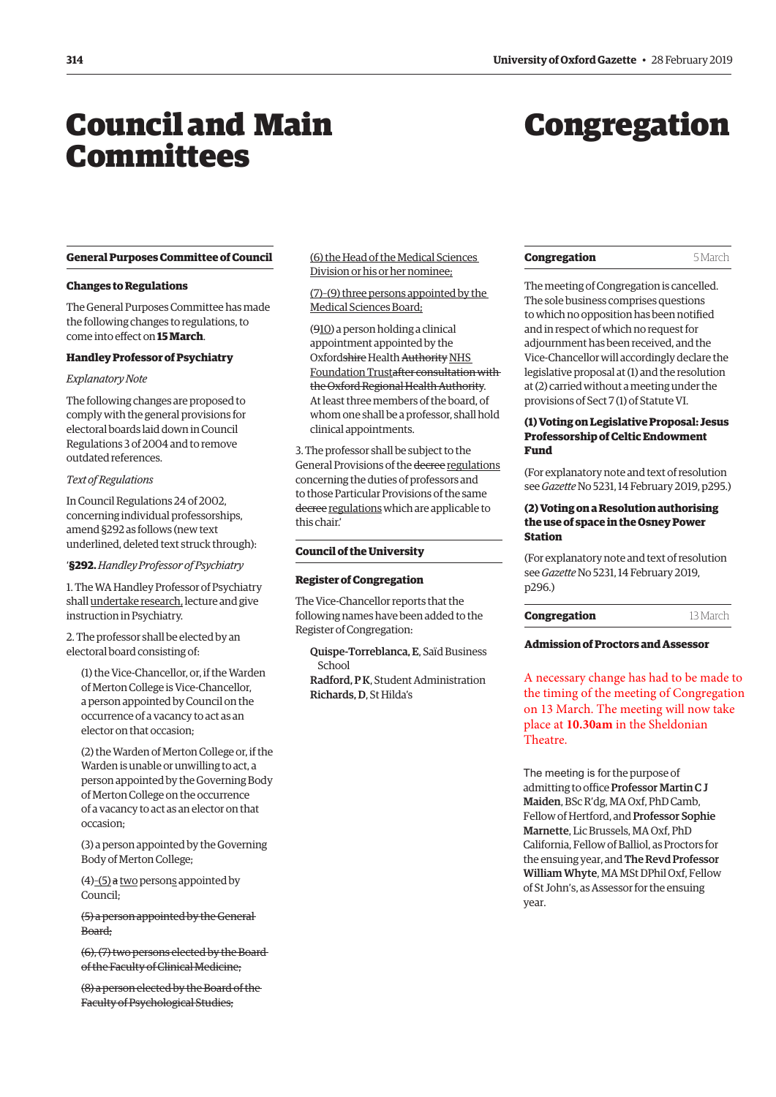## <span id="page-1-0"></span>Council and Main **Committees**

## Congregation

#### **General Purposes Committee of Council**

#### **Changes to Regulations**

The General Purposes Committee has made the following changes to regulations, to come into effect on **15 March**.

#### **Handley Professor of Psychiatry**

#### *Explanatory Note*

The following changes are proposed to comply with the general provisions for electoral boards laid down in Council Regulations 3 of 2004 and to remove outdated references.

#### *Text of Regulations*

In Council Regulations 24 of 2002, concerning individual professorships, amend §292 as follows (new text underlined, deleted text struck through):

### '**§292.** *Handley Professor of Psychiatry*

1. The WA Handley Professor of Psychiatry shall undertake research, lecture and give instruction in Psychiatry.

2. The professor shall be elected by an electoral board consisting of:

(1) the Vice-Chancellor, or, if the Warden of Merton College is Vice-Chancellor, a person appointed by Council on the occurrence of a vacancy to act as an elector on that occasion;

(2) the Warden of Merton College or, if the Warden is unable or unwilling to act, a person appointed by the Governing Body of Merton College on the occurrence of a vacancy to act as an elector on that occasion;

(3) a person appointed by the Governing Body of Merton College;

 $(4)$ – $(5)$  a two persons appointed by Council;

(5) a person appointed by the General Board;

(6), (7) two persons elected by the Board of the Faculty of Clinical Medicine;

(8) a person elected by the Board of the Faculty of Psychological Studies;

(6) the Head of the Medical Sciences Division or his or her nominee;

(7)–(9) three persons appointed by the Medical Sciences Board;

(910) a person holding a clinical appointment appointed by the Oxfordshire Health Authority NHS Foundation Trustafter consultation with the Oxford Regional Health Authority. At least three members of the board, of whom one shall be a professor, shall hold clinical appointments.

3. The professor shall be subject to the General Provisions of the decree regulations concerning the duties of professors and to those Particular Provisions of the same decree regulations which are applicable to this chair.'

#### **Council of the University**

#### **Register of Congregation**

The Vice-Chancellor reports that the following names have been added to the Register of Congregation:

Quispe-Torreblanca, E, Saïd Business School Radford, P K, Student Administration Richards, D, St Hilda's

| Congregation | 5 March |
|--------------|---------|
|--------------|---------|

The meeting of Congregation is cancelled. The sole business comprises questions to which no opposition has been notified and in respect of which no request for adjournment has been received, and the Vice-Chancellor will accordingly declare the legislative proposal at (1) and the resolution at (2) carried without a meeting under the provisions of Sect 7 (1) of Statute VI.

#### **(1) Voting on Legislative Proposal: Jesus Professorship of Celtic Endowment Fund**

(For explanatory note and text of resolution see *Gazette* [No 5231, 14 February 2019, p295.\)](https://gazette.web.ox.ac.uk/sites/default/files/gazette/documents/media/14_february_2019_-_no_5231_redacted.pdf#page=7)

#### **(2) Voting on a Resolution authorising the use of space in the Osney Power Station**

(For explanatory note and text of resolution see *Gazette* [No 5231, 14 February 2019,](https://gazette.web.ox.ac.uk/sites/default/files/gazette/documents/media/14_february_2019_-_no_5231_redacted.pdf#page=8)  [p296.](https://gazette.web.ox.ac.uk/sites/default/files/gazette/documents/media/14_february_2019_-_no_5231_redacted.pdf#page=8))

| Congregation | 13 March |
|--------------|----------|
|--------------|----------|

#### **Admission of Proctors and Assessor**

A necessary change has had to be made to the timing of the meeting of Congregation on 13 March. The meeting will now take place at **10.30am** in the Sheldonian Theatre.

The meeting is for the purpose of admitting to office Professor Martin C J Maiden, BSc R'dg, MA Oxf, PhD Camb, Fellow of Hertford, and Professor Sophie Marnette, Lic Brussels, MA Oxf, PhD California, Fellow of Balliol, as Proctors for the ensuing year, and The Revd Professor William Whyte, MA MSt DPhil Oxf, Fellow of St John's, as Assessor for the ensuing year.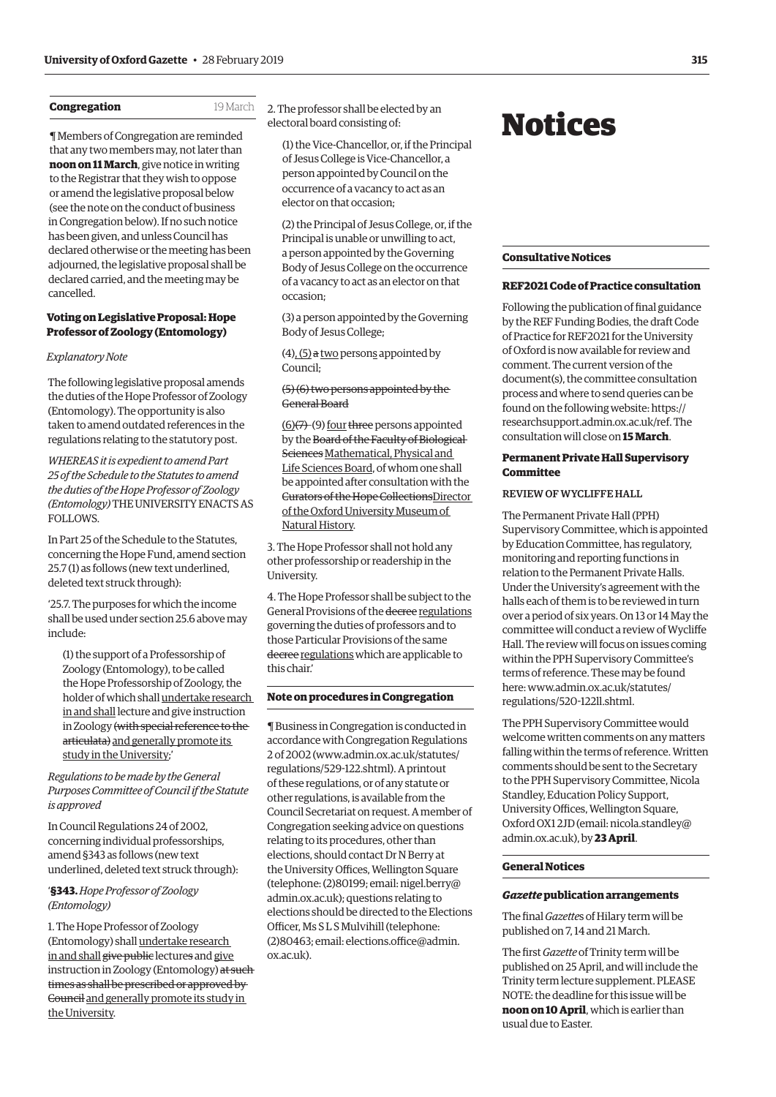#### <span id="page-2-0"></span>**Congregation** 19 March

¶ Members of Congregation are reminded that any two members may, not later than **noon on 11 March**, give notice in writing to the Registrar that they wish to oppose or amend the legislative proposal below (see the note on the conduct of business in Congregation below). If no such notice has been given, and unless Council has declared otherwise or the meeting has been adjourned, the legislative proposal shall be declared carried, and the meeting may be cancelled.

#### **Voting on Legislative Proposal: Hope Professor of Zoology (Entomology)**

#### *Explanatory Note*

The following legislative proposal amends the duties of the Hope Professor of Zoology (Entomology). The opportunity is also taken to amend outdated references in the regulations relating to the statutory post.

*WHEREAS it is expedient to amend Part 25 of the Schedule to the Statutes to amend the duties of the Hope Professor of Zoology (Entomology)* THE UNIVERSITY ENACTS AS FOLLOWS.

In Part 25 of the Schedule to the Statutes, concerning the Hope Fund, amend section 25.7 (1) as follows (new text underlined, deleted text struck through):

'25.7. The purposes for which the income shall be used under section 25.6 above may include:

(1) the support of a Professorship of Zoology (Entomology), to be called the Hope Professorship of Zoology, the holder of which shall undertake research in and shall lecture and give instruction in Zoology (with special reference to the articulata) and generally promote its study in the University;'

*Regulations to be made by the General Purposes Committee of Council if the Statute is approved*

In Council Regulations 24 of 2002, concerning individual professorships, amend §343 as follows (new text underlined, deleted text struck through):

#### '**§343.** *Hope Professor of Zoology (Entomology)*

1. The Hope Professor of Zoology (Entomology) shall undertake research in and shall give public lectures and give instruction in Zoology (Entomology) at such times as shall be prescribed or approved by Council and generally promote its study in the University.

2. The professor shall be elected by an electoral board consisting of:

(1) the Vice-Chancellor, or, if the Principal of Jesus College is Vice-Chancellor, a person appointed by Council on the occurrence of a vacancy to act as an elector on that occasion;

(2) the Principal of Jesus College, or, if the Principal is unable or unwilling to act, a person appointed by the Governing Body of Jesus College on the occurrence of a vacancy to act as an elector on that occasion;

(3) a person appointed by the Governing Body of Jesus College;

 $(4)$ ,  $(5)$  a two persons appointed by Council;

#### (5) (6) two persons appointed by the General Board

(6)(7)–(9) four three persons appointed by the Board of the Faculty of Biological Sciences Mathematical, Physical and Life Sciences Board, of whom one shall be appointed after consultation with the Curators of the Hope CollectionsDirector of the Oxford University Museum of Natural History.

3. The Hope Professor shall not hold any other professorship or readership in the University.

4. The Hope Professor shall be subject to the General Provisions of the decree regulations governing the duties of professors and to those Particular Provisions of the same decree regulations which are applicable to this chair.'

#### **Note on procedures in Congregation**

¶ Business in Congregation is conducted in accordance with Congregation Regulations 2 of 2002 (www.admin.ox.ac.uk/statutes/ regulations/529-122.shtml). A printout of these regulations, or of any statute or other regulations, is available from the Council Secretariat on request. A member of Congregati[on seeking advice on questions](http://www.admin.ox.ac.uk/statutes/regulations/529-122.shtml)  r[elating to its procedures, other](http://www.admin.ox.ac.uk/statutes/regulations/529-122.shtml) than elections, should contact Dr N Berry at the University Offices, Wellington Square (telephone: (2)80199; email: nigel.berry@ admin.ox.ac.uk); questions relating to elections should be directed to the Elections Officer, Ms S L S Mulvihill (telephone: [\(2\)80463; email: elections.office@admin.](mailto:nigel.berry@admin.ox.ac.uk) ox.ac.uk).

## Notices

#### **Consultative Notices**

#### **REF2021 Code of Practice consultation**

Following the publication of final guidance by the REF Funding Bodies, the draft Code of Practice for REF2021 for the University of Oxford is now available for review and comment. The current version of the document(s), the committee consultation process and where to send queries can be found on the following website: [https://](https://researchsupport.admin.ox.ac.uk/ref) [researchsupport.admin.ox.ac.uk/ref.](https://researchsupport.admin.ox.ac.uk/ref) The consultation will close on **15 March**.

#### **Permanent Private Hall Supervisory Committee**

#### REVIEW OF WYCLIFFE HALL

The Permanent Private Hall (PPH) Supervisory Committee, which is appointed by Education Committee, has regulatory, monitoring and reporting functions in relation to the Permanent Private Halls. Under the University's agreement with the halls each of them is to be reviewed in turn over a period of six years. On 13 or 14 May the committee will conduct a review of Wycliffe Hall. The review will focus on issues coming within the PPH Supervisory Committee's terms of reference. These may be found here: [www.admin.ox.ac.uk/statutes/](http://www.admin.ox.ac.uk/statutes/regulations/520-122ll.shtml) [regulations/520-122ll.shtml.](http://www.admin.ox.ac.uk/statutes/regulations/520-122ll.shtml)

The PPH Supervisory Committee would welcome written comments on any matters falling within the terms of reference. Written comments should be sent to the Secretary to the PPH Supervisory Committee, Nicola Standley, Education Policy Support, University Offices, Wellington Square, Oxford OX1 2JD (email: [nicola.standley@](mailto:nicola.standley@admin.ox.ac.uk) [admin.ox.ac.uk](mailto:nicola.standley@admin.ox.ac.uk)), by **23 April**.

#### **General Notices**

#### *Gazette* **publication arrangements**

The final *Gazette*s of Hilary term will be published on 7, 14 and 21 March.

The first *Gazette* of Trinity term will be published on 25 April, and will include the Trinity term lecture supplement. PLEASE NOTE: the deadline for this issue will be **noon on 10 April**, which is earlier than usual due to Easter.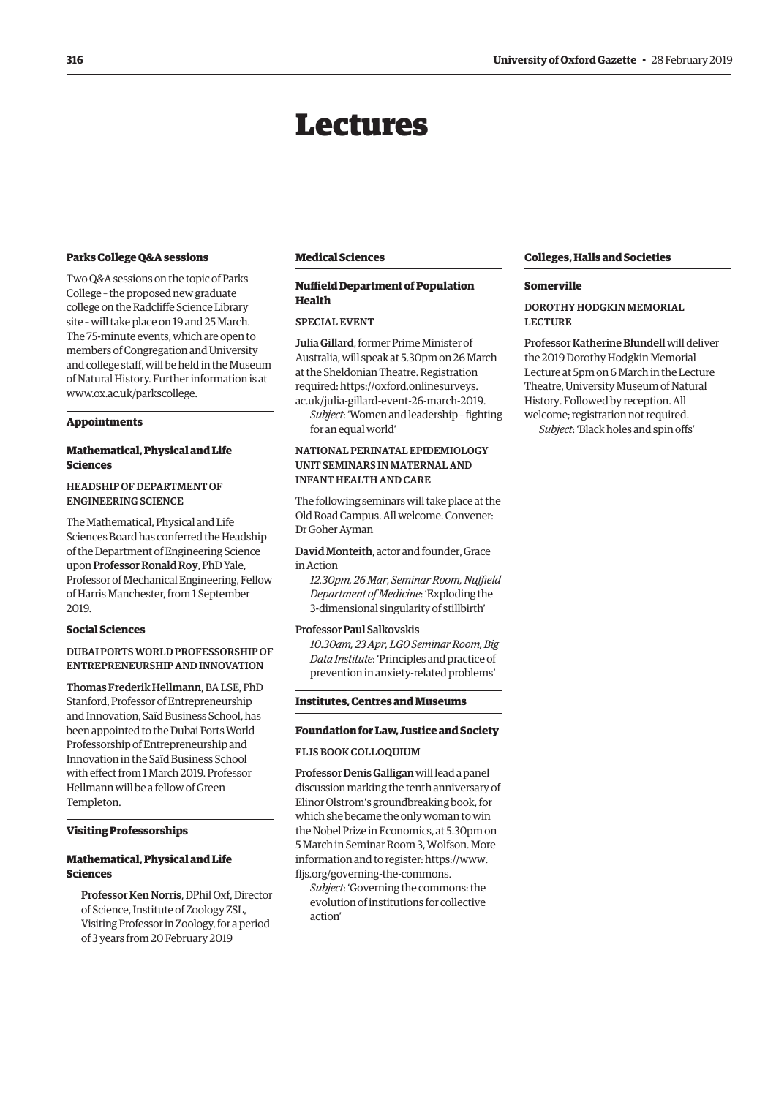## Lectures

#### <span id="page-3-0"></span>**Parks College Q&A sessions**

Two Q&A sessions on the topic of Parks College – the proposed new graduate college on the Radcliffe Science Library site – will take place on 19 and 25 March. The 75-minute events, which are open to members of Congregation and University and college staff, will be held in the Museum of Natural History. Further information is at [www.ox.ac.uk/parkscollege.](http://www.ox.ac.uk/parkscollege)

#### **Appointments**

#### **Mathematical, Physical and Life Sciences**

#### HEADSHIP OF DEPARTMENT OF ENGINEERING SCIENCE

The Mathematical, Physical and Life Sciences Board has conferred the Headship of the Department of Engineering Science upon Professor Ronald Roy, PhD Yale, Professor of Mechanical Engineering, Fellow of Harris Manchester, from 1 September 2019.

#### **Social Sciences**

#### DUBAI PORTS WORLD PROFESSORSHIP OF ENTREPRENEURSHIP AND INNOVATION

Thomas Frederik Hellmann, BA LSE, PhD Stanford, Professor of Entrepreneurship and Innovation, Saïd Business School, has been appointed to the Dubai Ports World Professorship of Entrepreneurship and Innovation in the Saïd Business School with effect from 1 March 2019. Professor Hellmann will be a fellow of Green Templeton.

#### **Visiting Professorships**

#### **Mathematical, Physical and Life Sciences**

Professor Ken Norris, DPhil Oxf, Director of Science, Institute of Zoology ZSL, Visiting Professor in Zoology, for a period of 3 years from 20 February 2019

#### **Medical Sciences**

#### **Nuffield Department of Population Health**

#### SPECIAL EVENT

Julia Gillard, former Prime Minister of Australia, will speak at 5.30pm on 26 March at the Sheldonian Theatre. Registration required: [https://oxford.onlinesurveys.](https://oxford.onlinesurveys.ac.uk/julia-gillard-event-26-march-2019) [ac.uk/julia-gillard-event-26-march-2019.](https://oxford.onlinesurveys.ac.uk/julia-gillard-event-26-march-2019)

*Subject*: 'Women and leadership – fighting for an equal world'

#### NATIONAL PERINATAL EPIDEMIOLOGY UNIT SEMINARS IN MATERNAL AND INFANT HEALTH AND CARE

The following seminars will take place at the Old Road Campus. All welcome. Convener: Dr Goher Ayman

David Monteith, actor and founder, Grace in Action

*12.30pm, 26 Mar, Seminar Room, Nuffield Department of Medicine*: 'Exploding the 3-dimensional singularity of stillbirth'

#### Professor Paul Salkovskis

*10.30am, 23 Apr, LG0 Seminar Room, Big Data Institute*: 'Principles and practice of prevention in anxiety-related problems'

#### **Institutes, Centres and Museums**

#### **Foundation for Law, Justice and Society**

#### FLJS BOOK COLLOQUIUM

Professor Denis Galligan will lead a panel discussion marking the tenth anniversary of Elinor Olstrom's groundbreaking book, for which she became the only woman to win the Nobel Prize in Economics, at 5.30pm on 5 March in Seminar Room 3, Wolfson. More information and to register: [https://www.](https://www.fljs.org/governing-the-commons) [fljs.org/governing-the-commons.](https://www.fljs.org/governing-the-commons)

*Subject*: 'Governing the commons: the evolution of institutions for collective action'

#### **Colleges, Halls and Societies**

#### **Somerville**

DOROTHY HODGKIN MEMORIAL LECTURE

Professor Katherine Blundell will deliver the 2019 Dorothy Hodgkin Memorial Lecture at 5pm on 6 March in the Lecture Theatre, University Museum of Natural History. Followed by reception. All welcome; registration not required. *Subject*: 'Black holes and spin offs'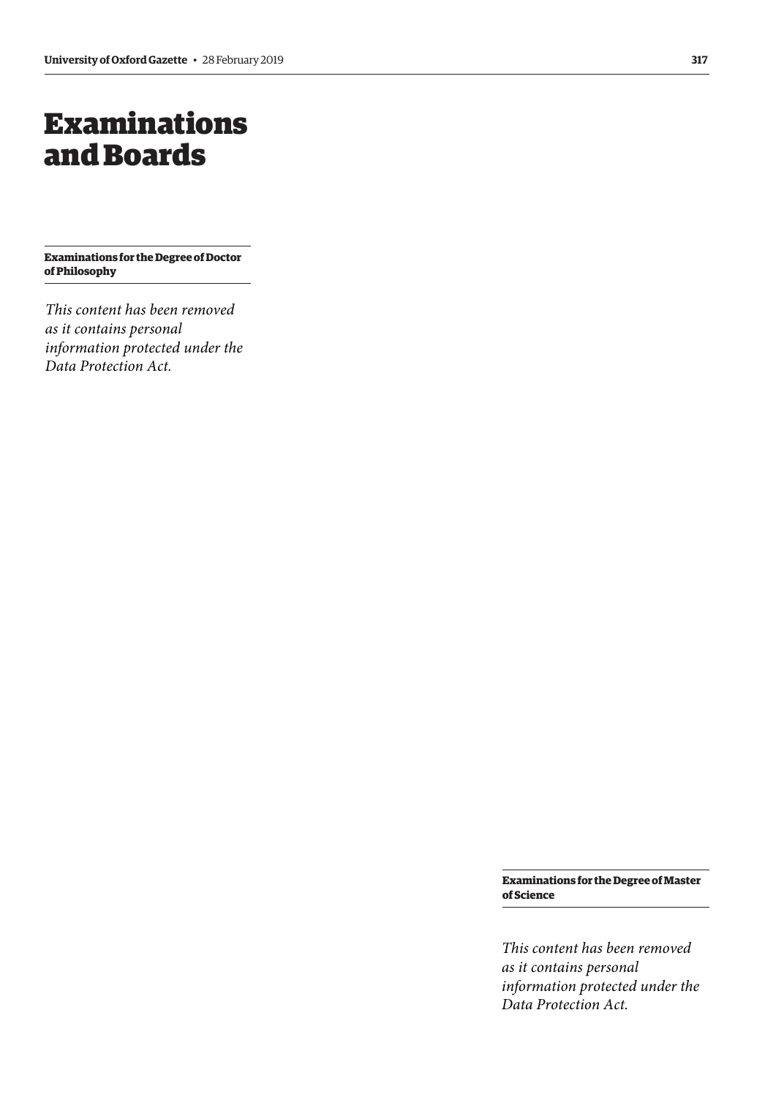## <span id="page-4-0"></span>Examinations and Boards

**Examinations for the Degree of Doctor of Philosophy**

*This content has been removed as it contains personal information protected under the Data Protection Act.*

> **Examinations for the Degree of Master of Science**

> *This content has been removed as it contains personal information protected under the Data Protection Act.*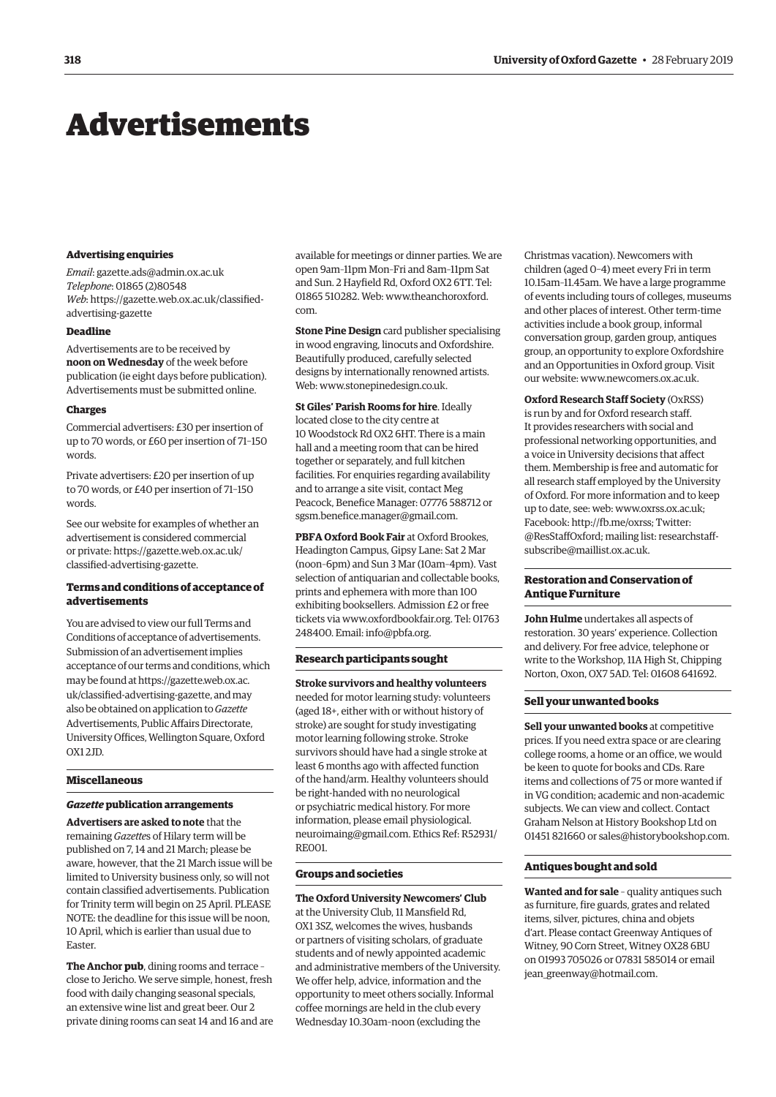## <span id="page-5-0"></span>Advertisements

#### **Advertising enquiries**

*Email*: [gazette.ads@admin.ox.ac.uk](mailto:gazette.ads@admin.ox.ac.uk) *Telephone*: 01865 (2)80548 *Web*[: https://gazette.web.ox.ac.uk/classified](https://gazette.web.ox.ac.uk/classified-advertising-gazette)advertising-gazette

#### **Deadline**

Advertisements are to be received by **noon on Wednesday** of the week before publication (ie eight days before publication). Advertisements must be submitted online.

#### **Charges**

Commercial advertisers: £30 per insertion of up to 70 words, or £60 per insertion of 71–150 words.

Private advertisers: £20 per insertion of up to 70 words, or £40 per insertion of 71–150 words.

See our website for examples of whether an advertisement is considered commercial [or private: https://gazette.web.ox.ac.uk/](https://gazette.web.ox.ac.uk/classified-advertising-gazette) classified-advertising-gazette.

#### **Terms and conditions of acceptance of advertisements**

You are advised to view our full Terms and Conditions of acceptance of advertisements. Submission of an advertisement implies acceptance of our terms and conditions, which may be found at https://gazette.web.ox.ac. [uk/classified-advertising-gazette, and may](https://gazette.web.ox.ac.uk/classified-advertising-gazette)  also be obtained on application to *Gazette* Advertisements, Public Affairs Directorate, University Offices, Wellington Square, Oxford  $OX12JD$ 

#### **Miscellaneous**

#### *Gazette* **publication arrangements**

**Advertisers are asked to note** that the remaining *Gazette*s of Hilary term will be published on 7, 14 and 21 March; please be aware, however, that the 21 March issue will be limited to University business only, so will not contain classified advertisements. Publication for Trinity term will begin on 25 April. PLEASE NOTE: the deadline for this issue will be noon, 10 April, which is earlier than usual due to Easter.

**The Anchor pub**, dining rooms and terrace – close to Jericho. We serve simple, honest, fresh food with daily changing seasonal specials, an extensive wine list and great beer. Our 2 private dining rooms can seat 14 and 16 and are available for meetings or dinner parties. We are open 9am–11pm Mon–Fri and 8am–11pm Sat and Sun. 2 Hayfield Rd, Oxford OX2 6TT. Tel: 01865 510282. Web: [www.theanchoroxford.](http://www.theanchoroxford.com) [com.](http://www.theanchoroxford.com)

**Stone Pine Design** card publisher specialising in wood engraving, linocuts and Oxfordshire. Beautifully produced, carefully selected designs by internationally renowned artists. Web: [www.stonepinedesign.co.uk.](http://www.stonepinedesign.co.uk)

**St Giles' Parish Rooms for hire**. Ideally located close to the city centre at 10 Woodstock Rd OX2 6HT. There is a main hall and a meeting room that can be hired together or separately, and full kitchen facilities. For enquiries regarding availability and to arrange a site visit, contact Meg Peacock, Benefice Manager: 07776 588712 or [sgsm.benefice.manager@gmail.com.](mailto:sgsm.benefice.manager@gmail.com)

**PBFA Oxford Book Fair** at Oxford Brookes, Headington Campus, Gipsy Lane: Sat 2 Mar (noon–6pm) and Sun 3 Mar (10am–4pm). Vast selection of antiquarian and collectable books, prints and ephemera with more than 100 exhibiting booksellers. Admission £2 or free tickets via [www.oxfordbookfair.org.](http://www.oxfordbookfair.org) Tel: 01763 248400. Email: [info@pbfa.org](mailto:info@pbfa.org).

#### **Research participants sought**

**Stroke survivors and healthy volunteers** needed for motor learning study: volunteers (aged 18+, either with or without history of stroke) are sought for study investigating motor learning following stroke. Stroke survivors should have had a single stroke at least 6 months ago with affected function of the hand/arm. Healthy volunteers should be right-handed with no neurological or psychiatric medical history. For more information, please email [physiological.](mailto:physiological.neuroimaing@gmail.com) [neuroimaing@gmail.com.](mailto:physiological.neuroimaing@gmail.com) Ethics Ref: R52931/ RE001.

#### **Groups and societies**

**The Oxford University Newcomers' Club** at the University Club, 11 Mansfield Rd, OX1 3SZ, welcomes the wives, husbands or partners of visiting scholars, of graduate students and of newly appointed academic and administrative members of the University. We offer help, advice, information and the opportunity to meet others socially. Informal coffee mornings are held in the club every Wednesday 10.30am–noon (excluding the

Christmas vacation). Newcomers with children (aged 0–4) meet every Fri in term 10.15am–11.45am. We have a large programme of events including tours of colleges, museums and other places of interest. Other term-time activities include a book group, informal conversation group, garden group, antiques group, an opportunity to explore Oxfordshire and an Opportunities in Oxford group. Visit our website: [www.newcomers.ox.ac.uk.](http://www.newcomers.ox.ac.uk)

**Oxford Research Staff Society** (OxRSS) is run by and for Oxford research staff. It provides researchers with social and professional networking opportunities, and a voice in University decisions that affect them. Membership is free and automatic for all research staff employed by the University of Oxford. For more information and to keep up to date, see: web: [www.oxrss.ox.ac.uk](http://www.oxrss.ox.ac.uk); Facebook: [http://fb.me/oxrss;](http://fb.me/oxrss) Twitter: [@ResStaffOxford](https://twitter.com/resstaffoxford?lang=en); mailing list: [researchstaff](mailto:researchstaff-subscribe@maillist.ox.ac.uk)[subscribe@maillist.ox.ac.uk](mailto:researchstaff-subscribe@maillist.ox.ac.uk).

#### **Restoration and Conservation of Antique Furniture**

**John Hulme** undertakes all aspects of restoration. 30 years' experience. Collection and delivery. For free advice, telephone or write to the Workshop, 11A High St, Chipping Norton, Oxon, OX7 5AD. Tel: 01608 641692.

#### **Sell your unwanted books**

**Sell your unwanted books** at competitive prices. If you need extra space or are clearing college rooms, a home or an office, we would be keen to quote for books and CDs. Rare items and collections of 75 or more wanted if in VG condition; academic and non-academic subjects. We can view and collect. Contact Graham Nelson at History Bookshop Ltd on 01451 821660 or [sales@historybookshop.com](mailto:sales@historybookshop.com).

#### **Antiques bought and sold**

**Wanted and for sale** – quality antiques such as furniture, fire guards, grates and related items, silver, pictures, china and objets d'art. Please contact Greenway Antiques of Witney, 90 Corn Street, Witney OX28 6BU on 01993 705026 or 07831 585014 or email [jean\\_greenway@hotmail.com](mailto:jean_greenway@hotmail.com).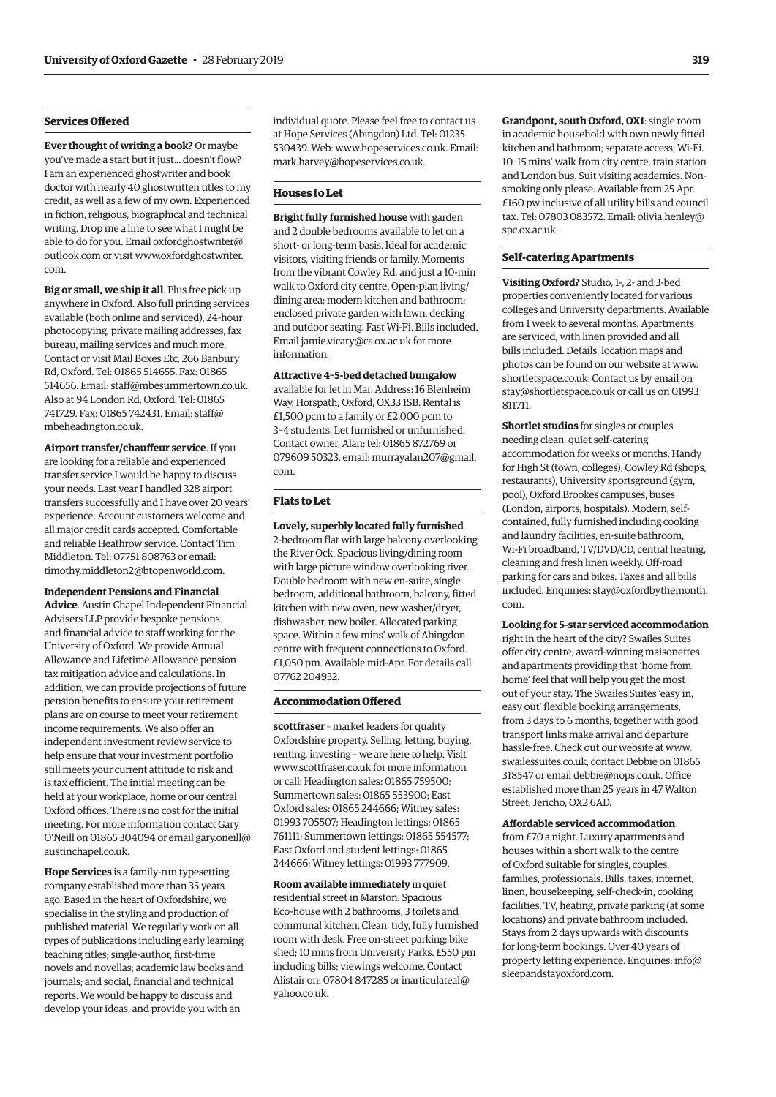#### **Services Offered**

**Ever thought of writing a book?** Or maybe you've made a start but it just... doesn't flow? I am an experienced ghostwriter and book doctor with nearly 40 ghostwritten titles to my credit, as well as a few of my own. Experienced in fiction, religious, biographical and technical writing. Drop me a line to see what I might be able to do for you. Email [oxfordghostwriter@](mailto:oxfordghostwriter@outlook.com) [outlook.com](mailto:oxfordghostwriter@outlook.com) or visit [www.oxfordghostwriter.](http://www.oxfordghostwriter.com) [com.](http://www.oxfordghostwriter.com)

**Big or small, we ship it all**. Plus free pick up anywhere in Oxford. Also full printing services available (both online and serviced), 24-hour photocopying, private mailing addresses, fax bureau, mailing services and much more. Contact or visit Mail Boxes Etc, 266 Banbury Rd, Oxford. Tel: 01865 514655. Fax: 01865 514656. Email: [staff@mbesummertown.co.uk.](mailto:staff@mbesummertown.co.uk) Also at 94 London Rd, Oxford. Tel: 01865 741729. Fax: 01865 742431. Email: [staff@](mailto:staff@mbeheadington.co.uk) [mbeheadington.co.uk](mailto:staff@mbeheadington.co.uk).

**Airport transfer/chauffeur service**. If you are looking for a reliable and experienced transfer service I would be happy to discuss your needs. Last year I handled 328 airport transfers successfully and I have over 20 years' experience. Account customers welcome and all major credit cards accepted. Comfortable and reliable Heathrow service. Contact Tim Middleton. Tel: 07751 808763 or email: [timothy.middleton2@btopenworld.com.](mailto:timothy.middleton2@btopenworld.com)

**Independent Pensions and Financial Advice**. Austin Chapel Independent Financial Advisers LLP provide bespoke pensions

and financial advice to staff working for the University of Oxford. We provide Annual Allowance and Lifetime Allowance pension tax mitigation advice and calculations. In addition, we can provide projections of future pension benefits to ensure your retirement plans are on course to meet your retirement income requirements. We also offer an independent investment review service to help ensure that your investment portfolio still meets your current attitude to risk and is tax efficient. The initial meeting can be held at your workplace, home or our central Oxford offices. There is no cost for the initial meeting. For more information contact Gary O'Neill on 01865 304094 or email [gary.oneill@](mailto:gary.oneill@austinchapel.co.uk) [austinchapel.co.uk.](mailto:gary.oneill@austinchapel.co.uk)

**Hope Services** is a family-run typesetting company established more than 35 years ago. Based in the heart of Oxfordshire, we specialise in the styling and production of published material. We regularly work on all types of publications including early learning teaching titles; single-author, first-time novels and novellas; academic law books and journals; and social, financial and technical reports. We would be happy to discuss and develop your ideas, and provide you with an

individual quote. Please feel free to contact us at Hope Services (Abingdon) Ltd. Tel: 01235 530439. Web: [www.hopeservices.co.uk](http://www.hopeservices.co.uk). Email: [mark.harvey@hopeservices.co.uk.](mailto:mark.harvey@hopeservices.co.uk)

#### **Houses to Let**

**Bright fully furnished house** with garden and 2 double bedrooms available to let on a short- or long-term basis. Ideal for academic visitors, visiting friends or family. Moments from the vibrant Cowley Rd, and just a 10-min walk to Oxford city centre. Open-plan living/ dining area; modern kitchen and bathroom; enclosed private garden with lawn, decking and outdoor seating. Fast Wi-Fi. Bills included. Email [jamie.vicary@cs.ox.ac.uk](mailto:jamie.vicary@cs.ox.ac.uk) for more information.

**Attractive 4–5-bed detached bungalow** available for let in Mar. Address: 16 Blenheim Way, Horspath, Oxford, OX33 1SB. Rental is £1,500 pcm to a family or £2,000 pcm to 3–4 students. Let furnished or unfurnished. Contact owner, Alan: tel: 01865 872769 or 079609 50323, email: [murrayalan207@gmail.](mailto:murrayalan207@gmail.com) [com.](mailto:murrayalan207@gmail.com)

#### **Flats to Let**

**Lovely, superbly located fully furnished** 2-bedroom flat with large balcony overlooking the River Ock. Spacious living/dining room with large picture window overlooking river. Double bedroom with new en-suite, single bedroom, additional bathroom, balcony, fitted kitchen with new oven, new washer/dryer, dishwasher, new boiler. Allocated parking space. Within a few mins' walk of Abingdon centre with frequent connections to Oxford. £1,050 pm. Available mid-Apr. For details call 07762 204932.

#### **Accommodation Offered**

**scottfraser** – market leaders for quality Oxfordshire property. Selling, letting, buying, renting, investing – we are here to help. Visit [www.scottfraser.co.uk](http://www.scottfraser.co.uk) for more information or call: Headington sales: 01865 759500; Summertown sales: 01865 553900; East Oxford sales: 01865 244666; Witney sales: 01993 705507; Headington lettings: 01865 761111; Summertown lettings: 01865 554577; East Oxford and student lettings: 01865 244666; Witney lettings: 01993 777909.

**Room available immediately** in quiet residential street in Marston. Spacious Eco-house with 2 bathrooms, 3 toilets and communal kitchen. Clean, tidy, fully furnished room with desk. Free on-street parking; bike shed; 10 mins from University Parks. £550 pm including bills; viewings welcome. Contact Alistair on: 07804 847285 or [inarticulateal@](mailto:inarticulateal@yahoo.co.uk) [yahoo.co.uk.](mailto:inarticulateal@yahoo.co.uk)

**Grandpont, south Oxford, OX1**: single room in academic household with own newly fitted kitchen and bathroom; separate access; Wi-Fi. 10–15 mins' walk from city centre, train station and London bus. Suit visiting academics. Nonsmoking only please. Available from 25 Apr. £160 pw inclusive of all utility bills and council tax. Tel: 07803 083572. Email: [olivia.henley@](mailto:olivia.henley@spc.ox.ac.uk) [spc.ox.ac.uk](mailto:olivia.henley@spc.ox.ac.uk).

#### **Self-catering Apartments**

**Visiting Oxford?** Studio, 1-, 2- and 3-bed properties conveniently located for various colleges and University departments. Available from 1 week to several months. Apartments are serviced, with linen provided and all bills included. Details, location maps and photos can be found on our website at [www.](http://www.shortletspace.co.uk) [shortletspace.co.uk](http://www.shortletspace.co.uk). Contact us by email on [stay@shortletspace.co.uk](mailto:stay@shortletspace.co.uk) or call us on 01993 811711.

**Shortlet studios** for singles or couples needing clean, quiet self-catering accommodation for weeks or months. Handy for High St (town, colleges), Cowley Rd (shops, restaurants), University sportsground (gym, pool), Oxford Brookes campuses, buses (London, airports, hospitals). Modern, selfcontained, fully furnished including cooking and laundry facilities, en-suite bathroom, Wi-Fi broadband, TV/DVD/CD, central heating, cleaning and fresh linen weekly. Off-road parking for cars and bikes. Taxes and all bills included. Enquiries: [stay@oxfordbythemonth.](mailto:stay@oxfordbythemonth.com) [com](mailto:stay@oxfordbythemonth.com).

**Looking for 5-star serviced accommodation** right in the heart of the city? Swailes Suites offer city centre, award-winning maisonettes and apartments providing that 'home from home' feel that will help you get the most out of your stay. The Swailes Suites 'easy in, easy out' flexible booking arrangements, from 3 days to 6 months, together with good transport links make arrival and departure hassle-free. Check out our website at [www.](http://www.swailessuites.co.uk) [swailessuites.co.uk](http://www.swailessuites.co.uk), contact Debbie on 01865 318547 or email [debbie@nops.co.uk](mailto:debbie@nops.co.uk). Office established more than 25 years in 47 Walton Street, Jericho, OX2 6AD.

#### **Affordable serviced accommodation**

from £70 a night. Luxury apartments and houses within a short walk to the centre of Oxford suitable for singles, couples, families, professionals. Bills, taxes, internet, linen, housekeeping, self-check-in, cooking facilities, TV, heating, private parking (at some locations) and private bathroom included. Stays from 2 days upwards with discounts for long-term bookings. Over 40 years of property letting experience. Enquiries: [info@](mailto:info@sleepandstayoxford.com) [sleepandstayoxford.com](mailto:info@sleepandstayoxford.com).